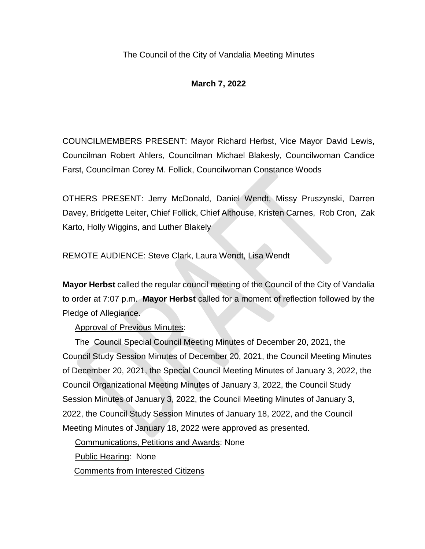# **March 7, 2022**

COUNCILMEMBERS PRESENT: Mayor Richard Herbst, Vice Mayor David Lewis, Councilman Robert Ahlers, Councilman Michael Blakesly, Councilwoman Candice Farst, Councilman Corey M. Follick, Councilwoman Constance Woods

OTHERS PRESENT: Jerry McDonald, Daniel Wendt, Missy Pruszynski, Darren Davey, Bridgette Leiter, Chief Follick, Chief Althouse, Kristen Carnes, Rob Cron, Zak Karto, Holly Wiggins, and Luther Blakely

REMOTE AUDIENCE: Steve Clark, Laura Wendt, Lisa Wendt

**Mayor Herbst** called the regular council meeting of the Council of the City of Vandalia to order at 7:07 p.m. **Mayor Herbst** called for a moment of reflection followed by the Pledge of Allegiance.

Approval of Previous Minutes:

The Council Special Council Meeting Minutes of December 20, 2021, the Council Study Session Minutes of December 20, 2021, the Council Meeting Minutes of December 20, 2021, the Special Council Meeting Minutes of January 3, 2022, the Council Organizational Meeting Minutes of January 3, 2022, the Council Study Session Minutes of January 3, 2022, the Council Meeting Minutes of January 3, 2022, the Council Study Session Minutes of January 18, 2022, and the Council Meeting Minutes of January 18, 2022 were approved as presented.

Communications, Petitions and Awards: None

Public Hearing: None

Comments from Interested Citizens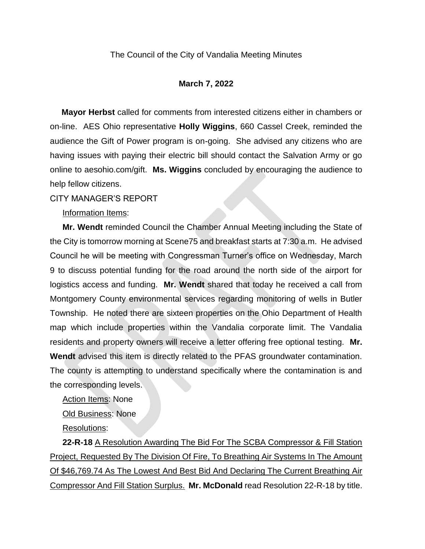#### **March 7, 2022**

 **Mayor Herbst** called for comments from interested citizens either in chambers or on-line. AES Ohio representative **Holly Wiggins**, 660 Cassel Creek, reminded the audience the Gift of Power program is on-going. She advised any citizens who are having issues with paying their electric bill should contact the Salvation Army or go online to aesohio.com/gift. **Ms. Wiggins** concluded by encouraging the audience to help fellow citizens.

#### CITY MANAGER'S REPORT

Information Items:

**Mr. Wendt** reminded Council the Chamber Annual Meeting including the State of the City is tomorrow morning at Scene75 and breakfast starts at 7:30 a.m. He advised Council he will be meeting with Congressman Turner's office on Wednesday, March 9 to discuss potential funding for the road around the north side of the airport for logistics access and funding. **Mr. Wendt** shared that today he received a call from Montgomery County environmental services regarding monitoring of wells in Butler Township. He noted there are sixteen properties on the Ohio Department of Health map which include properties within the Vandalia corporate limit. The Vandalia residents and property owners will receive a letter offering free optional testing. **Mr. Wendt** advised this item is directly related to the PFAS groundwater contamination. The county is attempting to understand specifically where the contamination is and the corresponding levels.

Action Items: None

Old Business: None

Resolutions:

**22-R-18** A Resolution Awarding The Bid For The SCBA Compressor & Fill Station Project, Requested By The Division Of Fire, To Breathing Air Systems In The Amount Of \$46,769.74 As The Lowest And Best Bid And Declaring The Current Breathing Air Compressor And Fill Station Surplus. **Mr. McDonald** read Resolution 22-R-18 by title.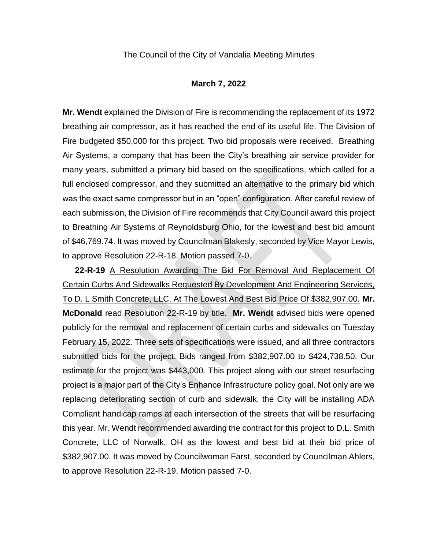#### **March 7, 2022**

**Mr. Wendt** explained the Division of Fire is recommending the replacement of its 1972 breathing air compressor, as it has reached the end of its useful life. The Division of Fire budgeted \$50,000 for this project. Two bid proposals were received. Breathing Air Systems, a company that has been the City's breathing air service provider for many years, submitted a primary bid based on the specifications, which called for a full enclosed compressor, and they submitted an alternative to the primary bid which was the exact same compressor but in an "open" configuration. After careful review of each submission, the Division of Fire recommends that City Council award this project to Breathing Air Systems of Reynoldsburg Ohio, for the lowest and best bid amount of \$46,769.74. It was moved by Councilman Blakesly, seconded by Vice Mayor Lewis, to approve Resolution 22-R-18. Motion passed 7-0.

**22-R-19** A Resolution Awarding The Bid For Removal And Replacement Of Certain Curbs And Sidewalks Requested By Development And Engineering Services, To D. L Smith Concrete, LLC. At The Lowest And Best Bid Price Of \$382,907.00. **Mr. McDonald** read Resolution 22-R-19 by title. **Mr. Wendt** advised bids were opened publicly for the removal and replacement of certain curbs and sidewalks on Tuesday February 15, 2022. Three sets of specifications were issued, and all three contractors submitted bids for the project. Bids ranged from \$382,907.00 to \$424,738.50. Our estimate for the project was \$443,000. This project along with our street resurfacing project is a major part of the City's Enhance Infrastructure policy goal. Not only are we replacing deteriorating section of curb and sidewalk, the City will be installing ADA Compliant handicap ramps at each intersection of the streets that will be resurfacing this year. Mr. Wendt recommended awarding the contract for this project to D.L. Smith Concrete, LLC of Norwalk, OH as the lowest and best bid at their bid price of \$382,907.00. It was moved by Councilwoman Farst, seconded by Councilman Ahlers, to approve Resolution 22-R-19. Motion passed 7-0.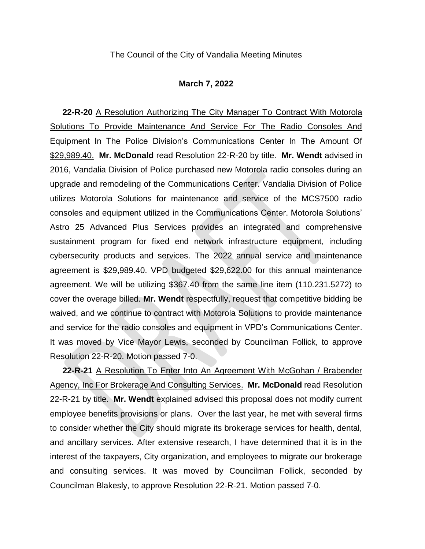#### **March 7, 2022**

**22-R-20** A Resolution Authorizing The City Manager To Contract With Motorola Solutions To Provide Maintenance And Service For The Radio Consoles And Equipment In The Police Division's Communications Center In The Amount Of \$29,989.40. **Mr. McDonald** read Resolution 22-R-20 by title. **Mr. Wendt** advised in 2016, Vandalia Division of Police purchased new Motorola radio consoles during an upgrade and remodeling of the Communications Center. Vandalia Division of Police utilizes Motorola Solutions for maintenance and service of the MCS7500 radio consoles and equipment utilized in the Communications Center. Motorola Solutions' Astro 25 Advanced Plus Services provides an integrated and comprehensive sustainment program for fixed end network infrastructure equipment, including cybersecurity products and services. The 2022 annual service and maintenance agreement is \$29,989.40. VPD budgeted \$29,622.00 for this annual maintenance agreement. We will be utilizing \$367.40 from the same line item (110.231.5272) to cover the overage billed. **Mr. Wendt** respectfully, request that competitive bidding be waived, and we continue to contract with Motorola Solutions to provide maintenance and service for the radio consoles and equipment in VPD's Communications Center. It was moved by Vice Mayor Lewis, seconded by Councilman Follick, to approve Resolution 22-R-20. Motion passed 7-0.

**22-R-21** A Resolution To Enter Into An Agreement With McGohan / Brabender Agency, Inc For Brokerage And Consulting Services. **Mr. McDonald** read Resolution 22-R-21 by title. **Mr. Wendt** explained advised this proposal does not modify current employee benefits provisions or plans. Over the last year, he met with several firms to consider whether the City should migrate its brokerage services for health, dental, and ancillary services. After extensive research, I have determined that it is in the interest of the taxpayers, City organization, and employees to migrate our brokerage and consulting services. It was moved by Councilman Follick, seconded by Councilman Blakesly, to approve Resolution 22-R-21. Motion passed 7-0.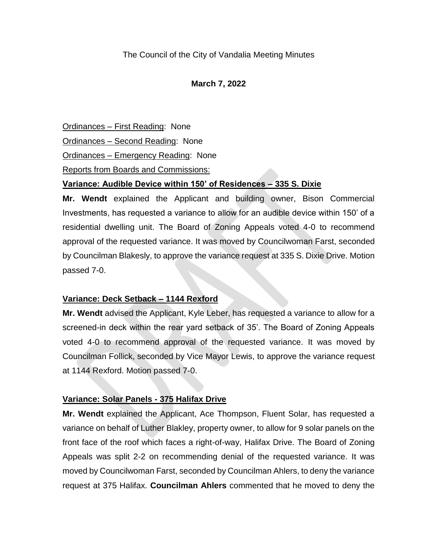# **March 7, 2022**

Ordinances – First Reading: None

Ordinances – Second Reading: None

Ordinances – Emergency Reading: None

Reports from Boards and Commissions:

# **Variance: Audible Device within 150' of Residences – 335 S. Dixie**

**Mr. Wendt** explained the Applicant and building owner, Bison Commercial Investments, has requested a variance to allow for an audible device within 150' of a residential dwelling unit. The Board of Zoning Appeals voted 4-0 to recommend approval of the requested variance. It was moved by Councilwoman Farst, seconded by Councilman Blakesly, to approve the variance request at 335 S. Dixie Drive. Motion passed 7-0.

# **Variance: Deck Setback – 1144 Rexford**

**Mr. Wendt** advised the Applicant, Kyle Leber, has requested a variance to allow for a screened-in deck within the rear yard setback of 35'. The Board of Zoning Appeals voted 4-0 to recommend approval of the requested variance. It was moved by Councilman Follick, seconded by Vice Mayor Lewis, to approve the variance request at 1144 Rexford. Motion passed 7-0.

# **Variance: Solar Panels - 375 Halifax Drive**

**Mr. Wendt** explained the Applicant, Ace Thompson, Fluent Solar, has requested a variance on behalf of Luther Blakley, property owner, to allow for 9 solar panels on the front face of the roof which faces a right-of-way, Halifax Drive. The Board of Zoning Appeals was split 2-2 on recommending denial of the requested variance. It was moved by Councilwoman Farst, seconded by Councilman Ahlers, to deny the variance request at 375 Halifax. **Councilman Ahlers** commented that he moved to deny the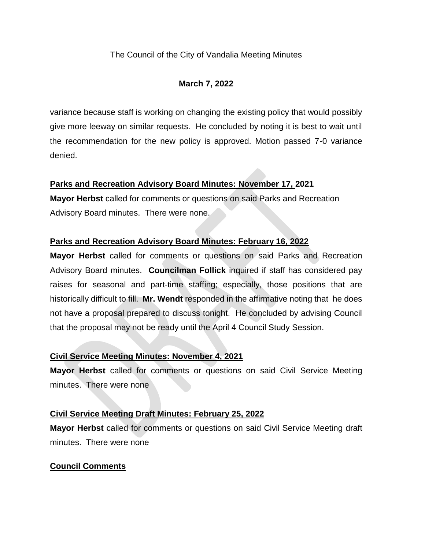# **March 7, 2022**

variance because staff is working on changing the existing policy that would possibly give more leeway on similar requests. He concluded by noting it is best to wait until the recommendation for the new policy is approved. Motion passed 7-0 variance denied.

# **Parks and Recreation Advisory Board Minutes: November 17, 2021**

**Mayor Herbst** called for comments or questions on said Parks and Recreation Advisory Board minutes. There were none.

# **Parks and Recreation Advisory Board Minutes: February 16, 2022**

**Mayor Herbst** called for comments or questions on said Parks and Recreation Advisory Board minutes. **Councilman Follick** inquired if staff has considered pay raises for seasonal and part-time staffing; especially, those positions that are historically difficult to fill. **Mr. Wendt** responded in the affirmative noting that he does not have a proposal prepared to discuss tonight. He concluded by advising Council that the proposal may not be ready until the April 4 Council Study Session.

# **Civil Service Meeting Minutes: November 4, 2021**

**Mayor Herbst** called for comments or questions on said Civil Service Meeting minutes. There were none

# **Civil Service Meeting Draft Minutes: February 25, 2022**

**Mayor Herbst** called for comments or questions on said Civil Service Meeting draft minutes. There were none

# **Council Comments**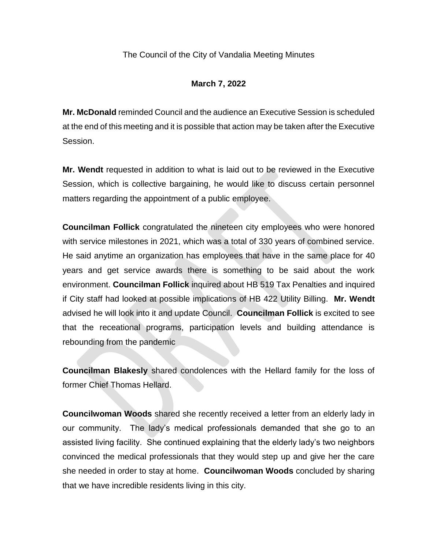# **March 7, 2022**

**Mr. McDonald** reminded Council and the audience an Executive Session is scheduled at the end of this meeting and it is possible that action may be taken after the Executive Session.

**Mr. Wendt** requested in addition to what is laid out to be reviewed in the Executive Session, which is collective bargaining, he would like to discuss certain personnel matters regarding the appointment of a public employee.

**Councilman Follick** congratulated the nineteen city employees who were honored with service milestones in 2021, which was a total of 330 years of combined service. He said anytime an organization has employees that have in the same place for 40 years and get service awards there is something to be said about the work environment. **Councilman Follick** inquired about HB 519 Tax Penalties and inquired if City staff had looked at possible implications of HB 422 Utility Billing. **Mr. Wendt** advised he will look into it and update Council. **Councilman Follick** is excited to see that the receational programs, participation levels and building attendance is rebounding from the pandemic

**Councilman Blakesly** shared condolences with the Hellard family for the loss of former Chief Thomas Hellard.

**Councilwoman Woods** shared she recently received a letter from an elderly lady in our community. The lady's medical professionals demanded that she go to an assisted living facility. She continued explaining that the elderly lady's two neighbors convinced the medical professionals that they would step up and give her the care she needed in order to stay at home. **Councilwoman Woods** concluded by sharing that we have incredible residents living in this city.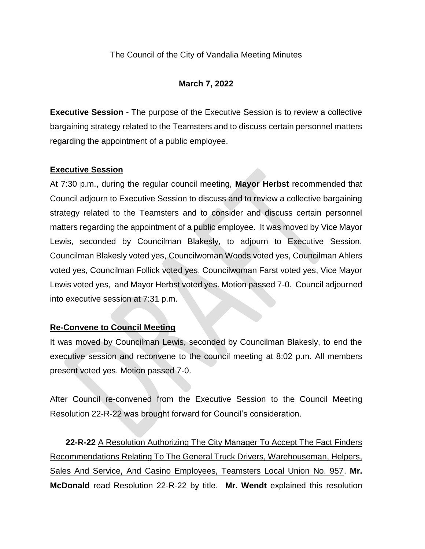### **March 7, 2022**

**Executive Session** - The purpose of the Executive Session is to review a collective bargaining strategy related to the Teamsters and to discuss certain personnel matters regarding the appointment of a public employee.

### **Executive Session**

At 7:30 p.m., during the regular council meeting, **Mayor Herbst** recommended that Council adjourn to Executive Session to discuss and to review a collective bargaining strategy related to the Teamsters and to consider and discuss certain personnel matters regarding the appointment of a public employee. It was moved by Vice Mayor Lewis, seconded by Councilman Blakesly, to adjourn to Executive Session. Councilman Blakesly voted yes, Councilwoman Woods voted yes, Councilman Ahlers voted yes, Councilman Follick voted yes, Councilwoman Farst voted yes, Vice Mayor Lewis voted yes, and Mayor Herbst voted yes. Motion passed 7-0. Council adjourned into executive session at 7:31 p.m.

### **Re-Convene to Council Meeting**

It was moved by Councilman Lewis, seconded by Councilman Blakesly, to end the executive session and reconvene to the council meeting at 8:02 p.m. All members present voted yes. Motion passed 7-0.

After Council re-convened from the Executive Session to the Council Meeting Resolution 22-R-22 was brought forward for Council's consideration.

**22-R-22** A Resolution Authorizing The City Manager To Accept The Fact Finders Recommendations Relating To The General Truck Drivers, Warehouseman, Helpers, Sales And Service, And Casino Employees, Teamsters Local Union No. 957. **Mr. McDonald** read Resolution 22-R-22 by title. **Mr. Wendt** explained this resolution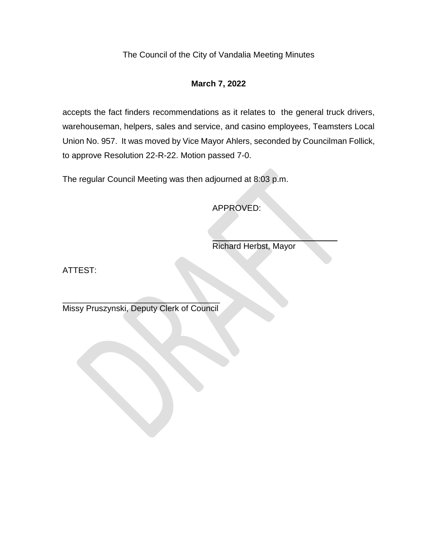# **March 7, 2022**

accepts the fact finders recommendations as it relates to the general truck drivers, warehouseman, helpers, sales and service, and casino employees, Teamsters Local Union No. 957. It was moved by Vice Mayor Ahlers, seconded by Councilman Follick, to approve Resolution 22-R-22. Motion passed 7-0.

The regular Council Meeting was then adjourned at 8:03 p.m.

APPROVED:

Richard Herbst, Mayor

ATTEST:

 $\overline{\phantom{a}}$  , where  $\overline{\phantom{a}}$  , where  $\overline{\phantom{a}}$  ,  $\overline{\phantom{a}}$  ,  $\overline{\phantom{a}}$  ,  $\overline{\phantom{a}}$  ,  $\overline{\phantom{a}}$  ,  $\overline{\phantom{a}}$  ,  $\overline{\phantom{a}}$  ,  $\overline{\phantom{a}}$  ,  $\overline{\phantom{a}}$  ,  $\overline{\phantom{a}}$  ,  $\overline{\phantom{a}}$  ,  $\overline{\phantom{a}}$  ,  $\overline{\phantom{a}}$  , Missy Pruszynski, Deputy Clerk of Council